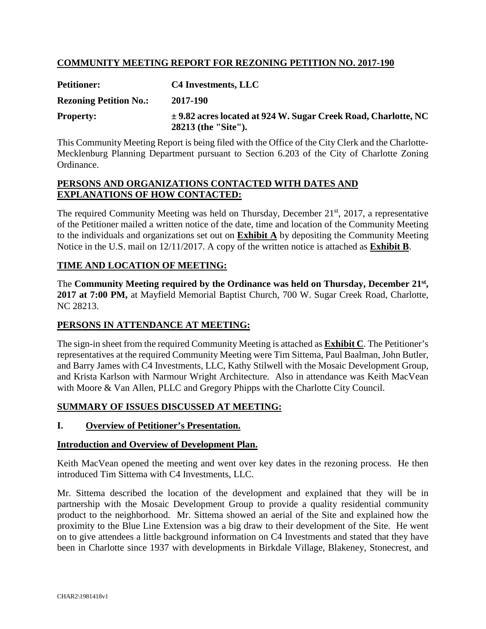# **COMMUNITY MEETING REPORT FOR REZONING PETITION NO. 2017-190**

| <b>Petitioner:</b>            | C4 Investments, LLC                                                                       |
|-------------------------------|-------------------------------------------------------------------------------------------|
| <b>Rezoning Petition No.:</b> | 2017-190                                                                                  |
| <b>Property:</b>              | $\pm$ 9.82 acres located at 924 W. Sugar Creek Road, Charlotte, NC<br>28213 (the "Site"). |

This Community Meeting Report is being filed with the Office of the City Clerk and the Charlotte-Mecklenburg Planning Department pursuant to Section 6.203 of the City of Charlotte Zoning Ordinance.

### **PERSONS AND ORGANIZATIONS CONTACTED WITH DATES AND EXPLANATIONS OF HOW CONTACTED:**

The required Community Meeting was held on Thursday, December 21<sup>st</sup>, 2017, a representative of the Petitioner mailed a written notice of the date, time and location of the Community Meeting to the individuals and organizations set out on **Exhibit A** by depositing the Community Meeting Notice in the U.S. mail on 12/11/2017. A copy of the written notice is attached as **Exhibit B**.

# **TIME AND LOCATION OF MEETING:**

The **Community Meeting required by the Ordinance was held on Thursday, December 21st , 2017 at 7:00 PM,** at Mayfield Memorial Baptist Church, 700 W. Sugar Creek Road, Charlotte, NC 28213.

# **PERSONS IN ATTENDANCE AT MEETING:**

The sign-in sheet from the required Community Meeting is attached as **Exhibit C**. The Petitioner's representatives at the required Community Meeting were Tim Sittema, Paul Baalman, John Butler, and Barry James with C4 Investments, LLC, Kathy Stilwell with the Mosaic Development Group, and Krista Karlson with Narmour Wright Architecture. Also in attendance was Keith MacVean with Moore & Van Allen, PLLC and Gregory Phipps with the Charlotte City Council.

# **SUMMARY OF ISSUES DISCUSSED AT MEETING:**

#### **I. Overview of Petitioner's Presentation.**

#### **Introduction and Overview of Development Plan.**

Keith MacVean opened the meeting and went over key dates in the rezoning process. He then introduced Tim Sittema with C4 Investments, LLC.

Mr. Sittema described the location of the development and explained that they will be in partnership with the Mosaic Development Group to provide a quality residential community product to the neighborhood. Mr. Sittema showed an aerial of the Site and explained how the proximity to the Blue Line Extension was a big draw to their development of the Site. He went on to give attendees a little background information on C4 Investments and stated that they have been in Charlotte since 1937 with developments in Birkdale Village, Blakeney, Stonecrest, and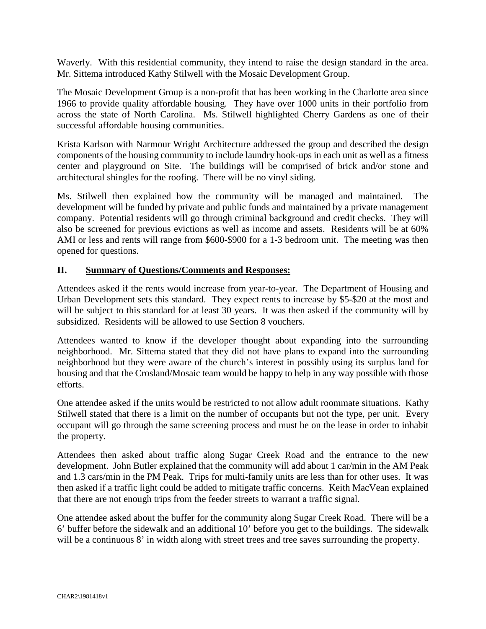Waverly. With this residential community, they intend to raise the design standard in the area. Mr. Sittema introduced Kathy Stilwell with the Mosaic Development Group.

The Mosaic Development Group is a non-profit that has been working in the Charlotte area since 1966 to provide quality affordable housing. They have over 1000 units in their portfolio from across the state of North Carolina. Ms. Stilwell highlighted Cherry Gardens as one of their successful affordable housing communities.

Krista Karlson with Narmour Wright Architecture addressed the group and described the design components of the housing community to include laundry hook-ups in each unit as well as a fitness center and playground on Site. The buildings will be comprised of brick and/or stone and architectural shingles for the roofing. There will be no vinyl siding.

Ms. Stilwell then explained how the community will be managed and maintained. The development will be funded by private and public funds and maintained by a private management company. Potential residents will go through criminal background and credit checks. They will also be screened for previous evictions as well as income and assets. Residents will be at 60% AMI or less and rents will range from \$600-\$900 for a 1-3 bedroom unit. The meeting was then opened for questions.

### **II. Summary of Questions/Comments and Responses:**

Attendees asked if the rents would increase from year-to-year. The Department of Housing and Urban Development sets this standard. They expect rents to increase by \$5-\$20 at the most and will be subject to this standard for at least 30 years. It was then asked if the community will by subsidized. Residents will be allowed to use Section 8 vouchers.

Attendees wanted to know if the developer thought about expanding into the surrounding neighborhood. Mr. Sittema stated that they did not have plans to expand into the surrounding neighborhood but they were aware of the church's interest in possibly using its surplus land for housing and that the Crosland/Mosaic team would be happy to help in any way possible with those efforts.

One attendee asked if the units would be restricted to not allow adult roommate situations. Kathy Stilwell stated that there is a limit on the number of occupants but not the type, per unit. Every occupant will go through the same screening process and must be on the lease in order to inhabit the property.

Attendees then asked about traffic along Sugar Creek Road and the entrance to the new development. John Butler explained that the community will add about 1 car/min in the AM Peak and 1.3 cars/min in the PM Peak. Trips for multi-family units are less than for other uses. It was then asked if a traffic light could be added to mitigate traffic concerns. Keith MacVean explained that there are not enough trips from the feeder streets to warrant a traffic signal.

One attendee asked about the buffer for the community along Sugar Creek Road. There will be a 6' buffer before the sidewalk and an additional 10' before you get to the buildings. The sidewalk will be a continuous 8' in width along with street trees and tree saves surrounding the property.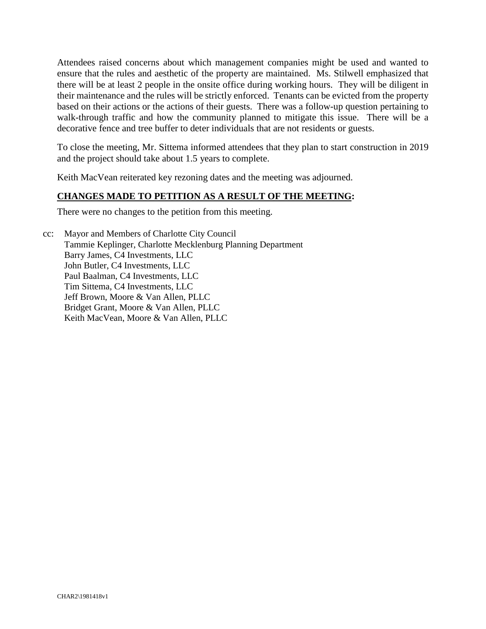Attendees raised concerns about which management companies might be used and wanted to ensure that the rules and aesthetic of the property are maintained. Ms. Stilwell emphasized that there will be at least 2 people in the onsite office during working hours. They will be diligent in their maintenance and the rules will be strictly enforced. Tenants can be evicted from the property based on their actions or the actions of their guests. There was a follow-up question pertaining to walk-through traffic and how the community planned to mitigate this issue. There will be a decorative fence and tree buffer to deter individuals that are not residents or guests.

To close the meeting, Mr. Sittema informed attendees that they plan to start construction in 2019 and the project should take about 1.5 years to complete.

Keith MacVean reiterated key rezoning dates and the meeting was adjourned.

### **CHANGES MADE TO PETITION AS A RESULT OF THE MEETING:**

There were no changes to the petition from this meeting.

cc: Mayor and Members of Charlotte City Council Tammie Keplinger, Charlotte Mecklenburg Planning Department Barry James, C4 Investments, LLC John Butler, C4 Investments, LLC Paul Baalman, C4 Investments, LLC Tim Sittema, C4 Investments, LLC Jeff Brown, Moore & Van Allen, PLLC Bridget Grant, Moore & Van Allen, PLLC Keith MacVean, Moore & Van Allen, PLLC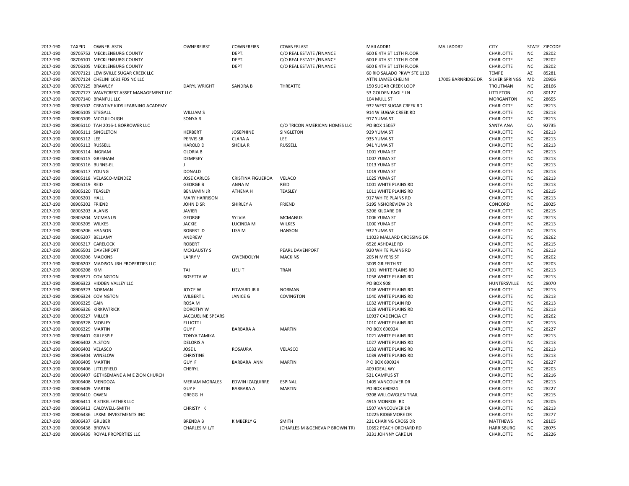| 2017-190 | <b>TAXPID</b>      | OWNERLASTN                              | OWNERFIRST               | <b>COWNERFIRS</b> | COWNERLAST                      | MAILADDR1                   | MAILADDR2          | <b>CITY</b>           | STATE     | <b>ZIPCODE</b> |
|----------|--------------------|-----------------------------------------|--------------------------|-------------------|---------------------------------|-----------------------------|--------------------|-----------------------|-----------|----------------|
| 2017-190 |                    | 08705752 MECKLENBURG COUNTY             |                          | DEPT.             | C/O REAL ESTATE /FINANCE        | 600 E 4TH ST 11TH FLOOR     |                    | CHARLOTTE             | NC        | 28202          |
| 2017-190 |                    | 08706101 MECKLENBURG COUNTY             |                          | DEPT.             | C/O REAL ESTATE /FINANCE        | 600 E 4TH ST 11TH FLOOR     |                    | CHARLOTTE             | <b>NC</b> | 28202          |
| 2017-190 |                    | 08706105 MECKLENBURG COUNTY             |                          | <b>DEPT</b>       | C/O REAL ESTATE /FINANCE        | 600 E 4TH ST 11TH FLOOR     |                    | CHARLOTTE             | <b>NC</b> | 28202          |
| 2017-190 |                    | 08707121 LEWISVILLE SUGAR CREEK LLC     |                          |                   |                                 | 60 RIO SALADO PKWY STE 1103 |                    | <b>TEMPE</b>          | AZ        | 85281          |
| 2017-190 |                    | 08707124 CHELINI 1031 FDS NC LLC        |                          |                   |                                 | ATTN:JAMES CHELINI          | 17005 BARNRIDGE DR | <b>SILVER SPRINGS</b> | MD        | 20906          |
| 2017-190 | 08707125 BRAWLEY   |                                         | <b>DARYL WRIGHT</b>      | SANDRA B          | THREATTE                        | <b>150 SUGAR CREEK LOOP</b> |                    | <b>TROUTMAN</b>       | NC        | 28166          |
| 2017-190 |                    | 08707127 WAVECREST ASSET MANAGEMENT LLC |                          |                   |                                 | 53 GOLDEN EAGLE LN          |                    | LITTLETON             | CO        | 80127          |
| 2017-190 |                    | 08707140 BRANFUL LLC                    |                          |                   |                                 | 104 MULL ST                 |                    | MORGANTON             | <b>NC</b> | 28655          |
| 2017-190 |                    | 08905102 CREATIVE KIDS LEARNING ACADEMY |                          |                   |                                 | 932 WEST SUGAR CREEK RD     |                    | CHARLOTTE             | <b>NC</b> | 28213          |
| 2017-190 | 08905105 STEGALL   |                                         | <b>WILLIAM S</b>         |                   |                                 | 914 W SUGAR CREEK RD        |                    | CHARLOTTE             | <b>NC</b> | 28213          |
|          |                    |                                         |                          |                   |                                 |                             |                    |                       |           | 28213          |
| 2017-190 |                    | 08905109 MCCULLOUGH                     | SONYA R                  |                   |                                 | 917 YUMA ST                 |                    | CHARLOTTE             | <b>NC</b> |                |
| 2017-190 |                    | 08905110 TAH 2016-1 BORROWER LLC        |                          |                   | C/O TRICON AMERICAN HOMES LLC   | PO BOX 15057                |                    | <b>SANTA ANA</b>      | CA        | 92735          |
| 2017-190 |                    | 08905111 SINGLETON                      | <b>HERBERT</b>           | <b>JOSEPHINE</b>  | SINGLETON                       | 929 YUMA ST                 |                    | CHARLOTTE             | <b>NC</b> | 28213          |
| 2017-190 | 08905112 LEE       |                                         | <b>PERVIS SR</b>         | <b>CLARA A</b>    | LEE                             | 935 YUMA ST                 |                    | CHARLOTTE             | <b>NC</b> | 28213          |
| 2017-190 | 08905113 RUSSELL   |                                         | <b>HAROLD D</b>          | SHEILA R          | RUSSELL                         | 941 YUMA ST                 |                    | CHARLOTTE             | <b>NC</b> | 28213          |
| 2017-190 | 08905114 INGRAM    |                                         | <b>GLORIA B</b>          |                   |                                 | 1001 YUMA ST                |                    | CHARLOTTE             | <b>NC</b> | 28213          |
| 2017-190 | 08905115 GRESHAM   |                                         | DEMPSEY                  |                   |                                 | 1007 YUMA ST                |                    | CHARLOTTE             | ΝC        | 28213          |
| 2017-190 | 08905116 BURNS-EL  |                                         |                          |                   |                                 | 1013 YUMA ST                |                    | CHARLOTTE             | <b>NC</b> | 28213          |
| 2017-190 | 08905117 YOUNG     |                                         | <b>DONALD</b>            |                   |                                 | 1019 YUMA ST                |                    | CHARLOTTE             | <b>NC</b> | 28213          |
| 2017-190 |                    | 08905118 VELASCO-MENDEZ                 | <b>JOSE CARLOS</b>       | CRISTINA FIGUEROA | VELACO                          | 1025 YUMA ST                |                    | CHARLOTTE             | <b>NC</b> | 28213          |
| 2017-190 | 08905119 REID      |                                         | <b>GEORGE B</b>          | ANNA M            | REID                            | 1001 WHITE PLAINS RD        |                    | CHARLOTTE             | <b>NC</b> | 28213          |
| 2017-190 | 08905120 TEASLEY   |                                         | <b>BENJAMIN JR</b>       | ATHENA H          | TEASLEY                         | 1011 WHITE PLAINS RD        |                    | CHARLOTTE             | <b>NC</b> | 28215          |
| 2017-190 | 08905201 HALL      |                                         | <b>MARY HARRISON</b>     |                   |                                 | 917 WHITE PLAINS RD         |                    | CHARLOTTE             | <b>NC</b> | 28213          |
| 2017-190 | 08905202 FRIEND    |                                         | <b>JOHN D SR</b>         | SHIRLEY A         | <b>FRIEND</b>                   | 5195 NSHOREVIEW DR          |                    | CONCORD               | <b>NC</b> | 28025          |
| 2017-190 | 08905203 ALANIS    |                                         | <b>JAVIER</b>            |                   |                                 | 5206 KILDARE DR             |                    | CHARLOTTE             | <b>NC</b> | 28215          |
| 2017-190 |                    | 08905204 MCMANUS                        | GEORGE                   | SYLVIA            | <b>MCMANUS</b>                  | 1006 YUMA ST                |                    | CHARLOTTE             | <b>NC</b> | 28213          |
| 2017-190 | 08905205 WILKES    |                                         | <b>JACKIE</b>            | LUCINDA M         | <b>WILKES</b>                   | 1000 YUMA ST                |                    | CHARLOTTE             | <b>NC</b> | 28213          |
| 2017-190 | 08905206 HANSON    |                                         | ROBERT D                 | LISA M            | <b>HANSON</b>                   | 932 YUMA ST                 |                    | CHARLOTTE             | <b>NC</b> | 28213          |
| 2017-190 | 08905207 BELLAMY   |                                         | ANDREW                   |                   |                                 | 11023 MALLARD CROSSING DR   |                    | CHARLOTTE             | ΝC        | 28262          |
| 2017-190 | 08905217 CARELOCK  |                                         | <b>ROBERT</b>            |                   |                                 | 6526 ASHDALE RD             |                    | CHARLOTTE             | <b>NC</b> | 28215          |
| 2017-190 |                    | 08905501 DAVENPORT                      | <b>MCKLAUSTY S</b>       |                   | PEARL DAVENPORT                 | 920 WHITE PLAINS RD         |                    | CHARLOTTE             | <b>NC</b> | 28213          |
| 2017-190 | 08906206 MACKINS   |                                         | <b>LARRY V</b>           | <b>GWENDOLYN</b>  | <b>MACKINS</b>                  | 205 N MYERS ST              |                    | CHARLOTTE             | <b>NC</b> | 28202          |
| 2017-190 |                    | 08906207 MADISON JRH PROPERTIES LLC     |                          |                   |                                 | 3009 GRIFFITH ST            |                    | CHARLOTTE             | <b>NC</b> | 28203          |
|          |                    |                                         |                          |                   |                                 |                             |                    |                       |           |                |
| 2017-190 | 08906208 KIM       |                                         | TAI                      | LIEU T            | <b>TRAN</b>                     | 1101 WHITE PLAINS RD        |                    | CHARLOTTE             | <b>NC</b> | 28213          |
| 2017-190 |                    | 08906321 COVINGTON                      | ROSETTA W                |                   |                                 | 1058 WHITE PLAINS RD        |                    | CHARLOTTE             | <b>NC</b> | 28213          |
| 2017-190 |                    | 08906322 HIDDEN VALLEY LLC              |                          |                   |                                 | <b>PO BOX 908</b>           |                    | HUNTERSVILLE          | NC        | 28070          |
| 2017-190 | 08906323 NORMAN    |                                         | <b>JOYCE W</b>           | EDWARD JR II      | <b>NORMAN</b>                   | 1048 WHITE PLAINS RD        |                    | CHARLOTTE             | <b>NC</b> | 28213          |
| 2017-190 |                    | 08906324 COVINGTON                      | WILBERT L                | <b>JANICE G</b>   | COVINGTON                       | 1040 WHITE PLAINS RD        |                    | CHARLOTTE             | <b>NC</b> | 28213          |
| 2017-190 | 08906325 CAIN      |                                         | ROSA M                   |                   |                                 | 1032 WHITE PLAIN RD         |                    | CHARLOTTE             | <b>NC</b> | 28213          |
| 2017-190 |                    | 08906326 KIRKPATRICK                    | DOROTHY W                |                   |                                 | 1028 WHITE PLAINS RD        |                    | CHARLOTTE             | <b>NC</b> | 28213          |
| 2017-190 | 08906327 MILLER    |                                         | <b>JACQUELINE SPEARS</b> |                   |                                 | 10937 CADENCIA CT           |                    | CHARLOTTE             | ΝC        | 28262          |
| 2017-190 | 08906328 MOBLEY    |                                         | <b>ELLIOTT L</b>         |                   |                                 | 1010 WHITE PLAINS RD        |                    | CHARLOTTE             | <b>NC</b> | 28213          |
| 2017-190 | 08906329 MARTIN    |                                         | <b>GUY F</b>             | <b>BARBARA A</b>  | <b>MARTIN</b>                   | PO BOX 690924               |                    | CHARLOTTE             | <b>NC</b> | 28227          |
| 2017-190 | 08906401 GILLESPIE |                                         | <b>TONYA TAMIKA</b>      |                   |                                 | 1021 WHITE PLAINS RD        |                    | CHARLOTTE             | <b>NC</b> | 28213          |
| 2017-190 | 08906402 ALSTON    |                                         | <b>DELORIS A</b>         |                   |                                 | 1027 WHITE PLAINS RD        |                    | CHARLOTTE             | <b>NC</b> | 28213          |
| 2017-190 | 08906403 VELASCO   |                                         | JOSE L                   | <b>ROSAURA</b>    | VELASCO                         | 1033 WHITE PLAINS RD        |                    | CHARLOTTE             | <b>NC</b> | 28213          |
| 2017-190 | 08906404 WINSLOW   |                                         | <b>CHRISTINE</b>         |                   |                                 | 1039 WHITE PLAINS RD        |                    | CHARLOTTE             | <b>NC</b> | 28213          |
| 2017-190 | 08906405 MARTIN    |                                         | GUY F                    | BARBARA ANN       | <b>MARTIN</b>                   | P O BOX 690924              |                    | CHARLOTTE             | <b>NC</b> | 28227          |
| 2017-190 |                    | 08906406 LITTLEFIELD                    | CHERYL                   |                   |                                 | 409 IDEAL WY                |                    | CHARLOTTE             | <b>NC</b> | 28203          |
| 2017-190 |                    | 08906407 GETHSEMANE A M E ZION CHURCH   |                          |                   |                                 | 531 CAMPUS ST               |                    | CHARLOTTE             | <b>NC</b> | 28216          |
| 2017-190 | 08906408 MENDOZA   |                                         | <b>MERIAM MORALES</b>    | EDWIN IZAQUIRRE   | <b>ESPINAL</b>                  | 1405 VANCOUVER DR           |                    | CHARLOTTE             | <b>NC</b> | 28213          |
| 2017-190 | 08906409 MARTIN    |                                         | <b>GUY F</b>             | <b>BARBARA A</b>  | <b>MARTIN</b>                   | PO BOX 690924               |                    | CHARLOTTE             | <b>NC</b> | 28227          |
| 2017-190 | 08906410 OWEN      |                                         | GREGG H                  |                   |                                 | 9208 WILLOWGLEN TRAIL       |                    | CHARLOTTE             | ΝC        | 28215          |
| 2017-190 |                    | 08906411 R STIKELEATHER LLC             |                          |                   |                                 | 4915 MONROE RD              |                    | CHARLOTTE             | <b>NC</b> | 28205          |
| 2017-190 |                    | 08906412 CALDWELL-SMITH                 | CHRISTY K                |                   |                                 | 1507 VANCOUVER DR           |                    | CHARLOTTE             | <b>NC</b> | 28213          |
|          |                    | 08906436 LAXMI INVESTMENTS INC          |                          |                   |                                 |                             |                    | CHARLOTTE             | <b>NC</b> | 28277          |
| 2017-190 |                    |                                         |                          |                   |                                 | 10225 RIDGEMORE DR          |                    |                       |           |                |
| 2017-190 | 08906437 GRUBER    |                                         | <b>BRENDA B</b>          | <b>KIMBERLY G</b> | SMITH                           | 221 CHARING CROSS DR        |                    | <b>MATTHEWS</b>       | <b>NC</b> | 28105          |
| 2017-190 | 08906438 BROWN     |                                         | CHARLES M L/T            |                   | (CHARLES M & GENEVA P BROWN TR) | 10652 PEACH ORCHARD RD      |                    | <b>HARRISBURG</b>     | <b>NC</b> | 28075          |
| 2017-190 |                    | 08906439 ROYAL PROPERTIES LLC           |                          |                   |                                 | 3331 JOHNNY CAKE LN         |                    | CHARLOTTE             | <b>NC</b> | 28226          |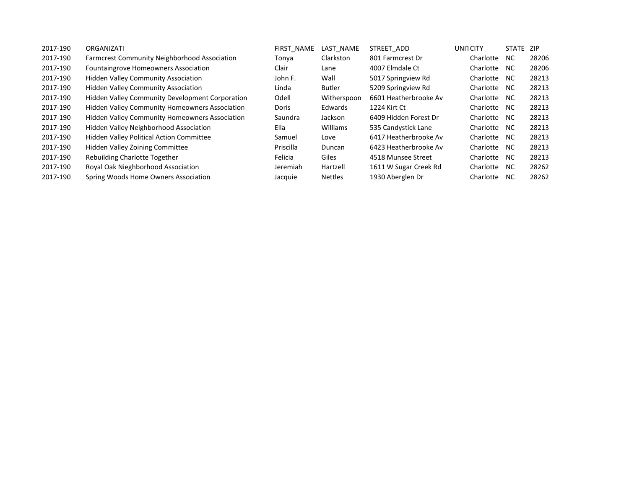| 2017-190 | ORGANIZATI                                             | FIRST NAME | LAST NAME       | STREET ADD            | UNITCITY  | STATE ZIP |       |
|----------|--------------------------------------------------------|------------|-----------------|-----------------------|-----------|-----------|-------|
| 2017-190 | <b>Farmcrest Community Neighborhood Association</b>    | Tonya      | Clarkston       | 801 Farmcrest Dr      | Charlotte | NC.       | 28206 |
| 2017-190 | <b>Fountaingrove Homeowners Association</b>            | Clair      | Lane            | 4007 Elmdale Ct       | Charlotte | NC.       | 28206 |
| 2017-190 | <b>Hidden Valley Community Association</b>             | John F.    | Wall            | 5017 Springview Rd    | Charlotte | NC.       | 28213 |
| 2017-190 | <b>Hidden Valley Community Association</b>             | Linda      | Butler          | 5209 Springview Rd    | Charlotte | NC.       | 28213 |
| 2017-190 | <b>Hidden Valley Community Development Corporation</b> | Odell      | Witherspoon     | 6601 Heatherbrooke Av | Charlotte | NC.       | 28213 |
| 2017-190 | <b>Hidden Valley Community Homeowners Association</b>  | Doris      | Edwards         | 1224 Kirt Ct          | Charlotte | NC.       | 28213 |
| 2017-190 | <b>Hidden Valley Community Homeowners Association</b>  | Saundra    | Jackson         | 6409 Hidden Forest Dr | Charlotte | NC.       | 28213 |
| 2017-190 | Hidden Valley Neighborhood Association                 | Ella       | <b>Williams</b> | 535 Candystick Lane   | Charlotte | NC.       | 28213 |
| 2017-190 | <b>Hidden Valley Political Action Committee</b>        | Samuel     | Love            | 6417 Heatherbrooke Av | Charlotte | NC.       | 28213 |
| 2017-190 | <b>Hidden Valley Zoining Committee</b>                 | Priscilla  | Duncan          | 6423 Heatherbrooke Av | Charlotte | NC.       | 28213 |
| 2017-190 | Rebuilding Charlotte Together                          | Felicia    | Giles           | 4518 Munsee Street    | Charlotte | NC.       | 28213 |
| 2017-190 | Royal Oak Nieghborhood Association                     | Jeremiah   | Hartzell        | 1611 W Sugar Creek Rd | Charlotte | NC.       | 28262 |
| 2017-190 | Spring Woods Home Owners Association                   | Jacquie    | <b>Nettles</b>  | 1930 Aberglen Dr      | Charlotte | NC.       | 28262 |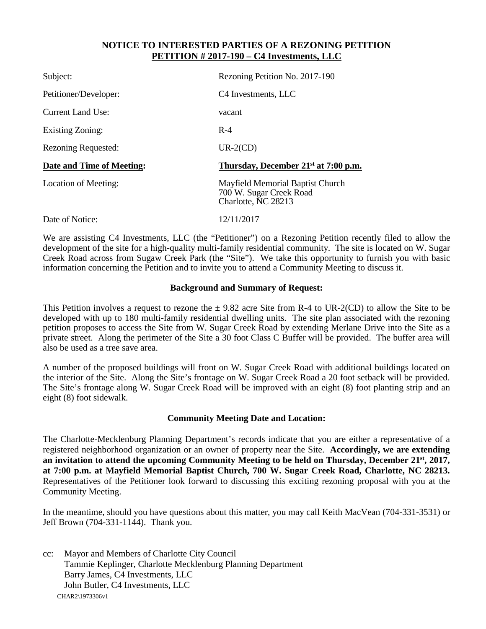### **NOTICE TO INTERESTED PARTIES OF A REZONING PETITION PETITION # 2017-190 – C4 Investments, LLC**

| Subject:                   | Rezoning Petition No. 2017-190                                                     |
|----------------------------|------------------------------------------------------------------------------------|
| Petitioner/Developer:      | C <sub>4</sub> Investments, LLC                                                    |
| Current Land Use:          | vacant                                                                             |
| Existing Zoning:           | $R-4$                                                                              |
| <b>Rezoning Requested:</b> | $UR-2(CD)$                                                                         |
| Date and Time of Meeting:  | Thursday, December 21 <sup>st</sup> at 7:00 p.m.                                   |
| Location of Meeting:       | Mayfield Memorial Baptist Church<br>700 W. Sugar Creek Road<br>Charlotte, NC 28213 |
| Date of Notice:            | 12/11/2017                                                                         |

We are assisting C4 Investments, LLC (the "Petitioner") on a Rezoning Petition recently filed to allow the development of the site for a high-quality multi-family residential community. The site is located on W. Sugar Creek Road across from Sugaw Creek Park (the "Site"). We take this opportunity to furnish you with basic information concerning the Petition and to invite you to attend a Community Meeting to discuss it.

#### **Background and Summary of Request:**

This Petition involves a request to rezone the  $\pm$  9.82 acre Site from R-4 to UR-2(CD) to allow the Site to be developed with up to 180 multi-family residential dwelling units. The site plan associated with the rezoning petition proposes to access the Site from W. Sugar Creek Road by extending Merlane Drive into the Site as a private street. Along the perimeter of the Site a 30 foot Class C Buffer will be provided. The buffer area will also be used as a tree save area.

A number of the proposed buildings will front on W. Sugar Creek Road with additional buildings located on the interior of the Site. Along the Site's frontage on W. Sugar Creek Road a 20 foot setback will be provided. The Site's frontage along W. Sugar Creek Road will be improved with an eight (8) foot planting strip and an eight (8) foot sidewalk.

#### **Community Meeting Date and Location:**

The Charlotte-Mecklenburg Planning Department's records indicate that you are either a representative of a registered neighborhood organization or an owner of property near the Site. **Accordingly, we are extending an invitation to attend the upcoming Community Meeting to be held on Thursday, December 21st, 2017, at 7:00 p.m. at Mayfield Memorial Baptist Church, 700 W. Sugar Creek Road, Charlotte, NC 28213.** Representatives of the Petitioner look forward to discussing this exciting rezoning proposal with you at the Community Meeting.

In the meantime, should you have questions about this matter, you may call Keith MacVean (704-331-3531) or Jeff Brown (704-331-1144). Thank you.

CHAR2\1973306v1 cc: Mayor and Members of Charlotte City Council Tammie Keplinger, Charlotte Mecklenburg Planning Department Barry James, C4 Investments, LLC John Butler, C4 Investments, LLC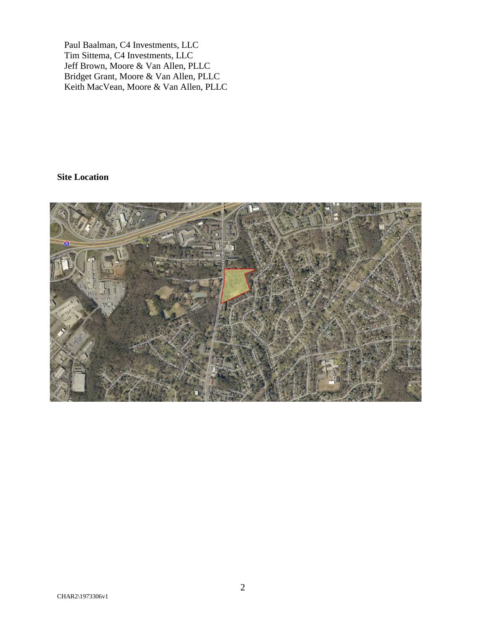Paul Baalman, C4 Investments, LLC Tim Sittema, C4 Investments, LLC Jeff Brown, Moore & Van Allen, PLLC Bridget Grant, Moore & Van Allen, PLLC Keith MacVean, Moore & Van Allen, PLLC

# **Site Location**

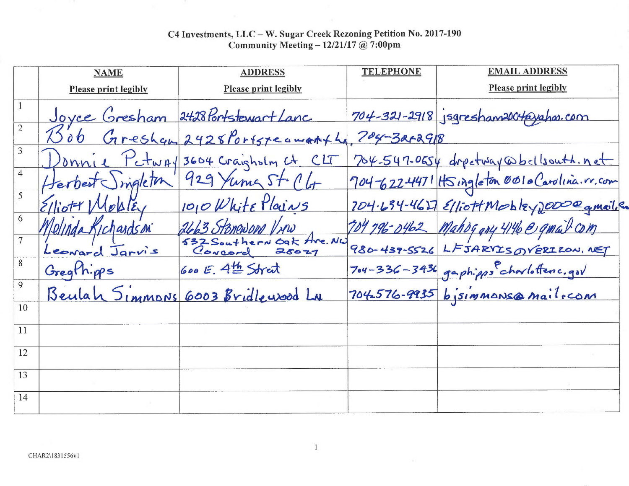|                | <b>NAME</b>                 | <b>ADDRESS</b>                               | <b>TELEPHONE</b> | <b>EMAIL ADDRESS</b>                          |
|----------------|-----------------------------|----------------------------------------------|------------------|-----------------------------------------------|
|                | <b>Please print legibly</b> | <b>Please print legibly</b>                  |                  | <b>Please print legibly</b>                   |
|                |                             | Joyce Gresham 2428 Portstewart Lanc          |                  | 704-321-2918 jsgresham200t@yahas.com          |
|                |                             | 1506 Gresham 2428 Portsteamanth, 704-3212918 |                  |                                               |
| 3              |                             | Jonnie Petway 3604 Craigholm Ct CLT          |                  | 704-547-0654 drectway @bellsouth.net          |
| $\overline{4}$ | Herbert ingletin            | 929 Yuma St. CL                              |                  | 704-622-4471 HSingleton 0010 Carolina. r. com |
| 5              | Elliott Mobiley             | 1010 White Plains                            |                  | 704.634-4627 ElliottMobleyDOOD@gmail.e        |
| 6              | Volinda Kichardson          | 2663 Stoneword Vrew                          |                  | 104 796-0462 Mahogary 4146 @ qmail com        |
|                | Leonard Jarvis              | 32 Southern Oak Are. NW                      |                  | 980-439-5526 LFJARVISOVERIZON, NET            |
| 8              | Gregthipps                  | <b>600 E. 4th Street</b>                     |                  | 704-336-3436 gaphipps charlottenc.gov         |
| 9              |                             | Beulah Simmons 6003 Bridlewood LN            |                  | 704576-9935 bjsimmonse mailrcom               |
| 10             |                             |                                              |                  |                                               |
| 11             |                             |                                              |                  |                                               |
| 12             |                             |                                              |                  |                                               |
| 13             |                             |                                              |                  |                                               |
| 14             |                             |                                              |                  |                                               |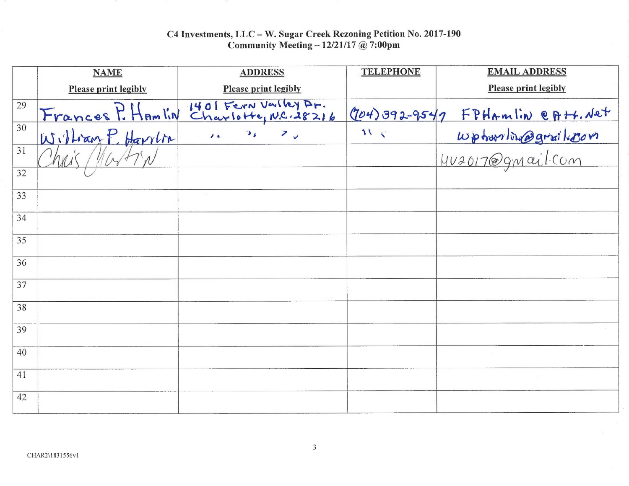|    | <b>NAME</b>                 | <b>ADDRESS</b>                                | <b>TELEPHONE</b> | <b>EMAIL ADDRESS</b>              |
|----|-----------------------------|-----------------------------------------------|------------------|-----------------------------------|
|    | <b>Please print legibly</b> | <b>Please print legibly</b>                   |                  | <b>Please print legibly</b>       |
| 29 | Frances P. Hamlin           | 1401 Fern Valley Ar.<br>Charlotte, N.C. 28216 |                  | $(704)392-9547$ FPHAMIN eA++. Net |
| 30 | William P. Harrion          | $16$ $36$ $70$                                | 21.5             | wphornling@grail.com              |
| 31 | hais Martin                 |                                               |                  |                                   |
| 32 |                             |                                               |                  |                                   |
| 33 |                             |                                               |                  |                                   |
| 34 |                             |                                               |                  |                                   |
| 35 |                             |                                               |                  |                                   |
| 36 |                             |                                               |                  |                                   |
| 37 |                             |                                               |                  |                                   |
| 38 |                             |                                               |                  |                                   |
| 39 |                             |                                               |                  |                                   |
| 40 |                             |                                               |                  |                                   |
| 41 |                             |                                               |                  |                                   |
| 42 |                             |                                               |                  |                                   |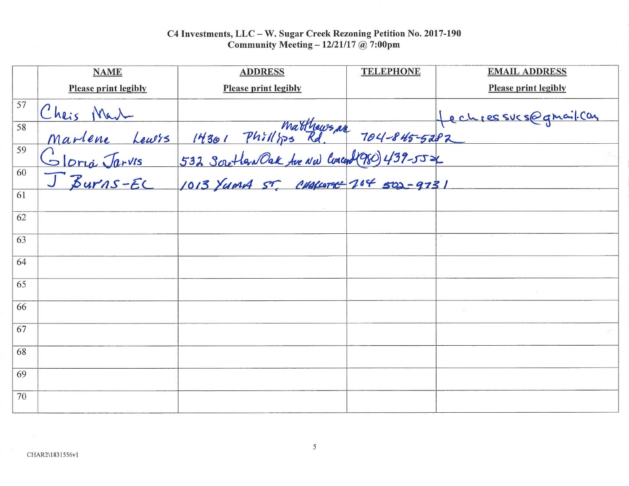|    | <b>NAME</b>                 | <b>ADDRESS</b>                                                                                                                                             | <b>TELEPHONE</b> | <b>EMAIL ADDRESS</b>        |
|----|-----------------------------|------------------------------------------------------------------------------------------------------------------------------------------------------------|------------------|-----------------------------|
|    | <b>Please print legibly</b> | <b>Please print legibly</b>                                                                                                                                |                  | <b>Please print legibly</b> |
| 57 |                             |                                                                                                                                                            |                  | Hechsessus@gmail.com        |
| 58 |                             | Cheis Mail Leurs 14301 Phillips Rd 104-845-5282<br>Marlene Leurs 14301 Phillips Rd 104-845-5282<br>Gloria Jarvis 532 Soutlan Oak for Nullment 204 502-9731 |                  |                             |
| 59 |                             |                                                                                                                                                            |                  |                             |
| 60 |                             |                                                                                                                                                            |                  |                             |
| 61 |                             |                                                                                                                                                            |                  |                             |
| 62 |                             |                                                                                                                                                            |                  |                             |
| 63 |                             |                                                                                                                                                            |                  |                             |
| 64 |                             |                                                                                                                                                            |                  |                             |
| 65 |                             |                                                                                                                                                            |                  |                             |
| 66 |                             |                                                                                                                                                            |                  |                             |
| 67 |                             |                                                                                                                                                            |                  |                             |
| 68 |                             |                                                                                                                                                            |                  |                             |
| 69 |                             |                                                                                                                                                            |                  |                             |
| 70 |                             |                                                                                                                                                            |                  |                             |